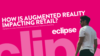# HOW IS AUGMENTED REALITY IMPACTING RETAIL? Highlights of a study conducted by Interactions Consumer Experience Marketing<br>
and the consumer Experience Marketing<br>
and the consumer Experience Marketing<br>
and the consumer Experience Marketing<br>
and the consumer Experienc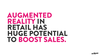## AUGMENTED REALITY IN RETAIL HAS HUGE POTENTIAL TO BOOST SALES.

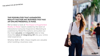**THE IMPACT OF AR ON RETAIL**

#### THE POSSIBILITIES THAT AUGMENTED REALITY HAS FOR ANY BUSINESS THAT HAS AN ONLINE PRESENCE, IS HUGE.

We've taken a look at The Impact of Augmented Reality on Retail report created by the team at Interactions Consumer Experience Marketing & published by Retail Perceptions and pulled out the most valuable and impactful stats to help show the value of integrating AR into your online retail experience.

Whether B2B or B2C, these insights are valuable when building a business case.

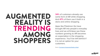## AUGMENTED REALITY IS TRENDING AMONG SHOPPERS

**34%** of customers already use some form of AR while shopping. And **47%** of them use it both in a store and online shopping.

Apps like Pokémon Go have brought AR into people's everyday lives and we at Eclipse see these numbers growing as AR becomes an expectation in the shopping experience. You'll be left behind if it is not an option for your customers.

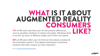# WHAT IS IT ABOUT AUGMENTED REALITY CONSUMERS

**77%** of AR users said they use it to see product differences,<br>such as possible variations of colours and styles. AR allows them<br>to do this up close, at different angles and in their ewn space. such as possible variations of colours and styles. AR allows them to do this up-close, at different angles and in their own space.

**65%** of AR users often use it to find out more about a product & the information about it. This applies particularly to technical products that often require up close inspection.

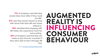## AUGMENTED REALITY IS INFLUENCING CONSUMER BEHAVIOUR

**71%** of shoppers said that they would shop more often if they could use AR.

**61%** said they would choose to shop with stores that have AR over those without it.

**55%** admitted that shopping with AR makes the experience more fun and exciting.

**40%** of shoppers said that they are ready to pay more for a product if they were able to test it through AR first.

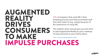### AUGMENTED REALITY DRIVES **CONSUMERS** TO MAKE IMPULSE PURCHASES

72% of shoppers that used AR in their shopping journey said they purchased stuff they didn't plan to buy, simply because of the experience of using AR.

This statistic alone should give you the drive to add Augmented Reality to your roadmap of improvements to your Online Store.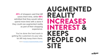### AUGMENTED REALITY INCREASES INTEREST & KEEPS PEOPLE ON SITE

**45%** of shoppers said that AR saves them time, while **68%** admitted that they would rather spend more time with a store if they could use augmented reality as part of their shopping experience.

You've done the hard work in getting the customers to your site, let AR help keep them there.

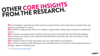# OTHER CORE INSIGHTS<br>FROM THE RESEARCH.

**82%** of shoppers say they use their phones to get known more about the products they are about to purchase in a store.

**68%** prefer to spend more time at a retailer's augmented reality store contrary to traditional stores.

**29%** of those surveyed expect retailers to invest more into both AR and VR technologies. **33%** of them are ready to use improved AR benefits to preview the size of an item in real before buying it.

**29%** of them want to check how they can use stuff before purchasing it.

**25%** of them would use AR features to see all differences of variations of product colours or designs, before choosing one.

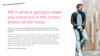#### **THE LONG AND SHORT OF IT**

#### AR is what is going to make you stand out in the crowd, above all the noise.

As you can now see, by implementing a solid approach to AR in your business model you're pulling all the right levers to drive your business forward.

But there is a right and a wrong way to do this. The usual approach is to develop a stand-alone app but this comes with its own issues. Research has found that 75% of app downloads will open the app once and never come back. It also puts a barrier in the way of the sales process. The chance of the person going off to download the app and then getting distracted is huge. Since the year 2000 to now, people's attention spans have dropped from 12 seconds to 8.

But there is another way…

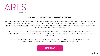

#### AUGMENETED REALITY E-COMMERCE SOLUTION.

Ares changes the game and is all about enhancing the online shopping experience for the end user. It is about lifting product images from standard 2D into something experiential and visually impactful, that truly brings product shopping online to life. Ares is dedicated to leveraging the power of AR and 3D for so much more than entertainment – it exists as your next step for achieving peak eCommerce performance.

And the reason it is changing the game is because it works straight from the web browser or mobile device, no apps or downloads required. It can be plugged into any website or e-commerce platform and Ares works on the latest Android and iOS devices.

Ares is a full end-to-end AR service for retailers. You don't need to be an AR expert to get the best out of Ares. Talk to us today to find out how Ares can revolutionise the way you sell online.